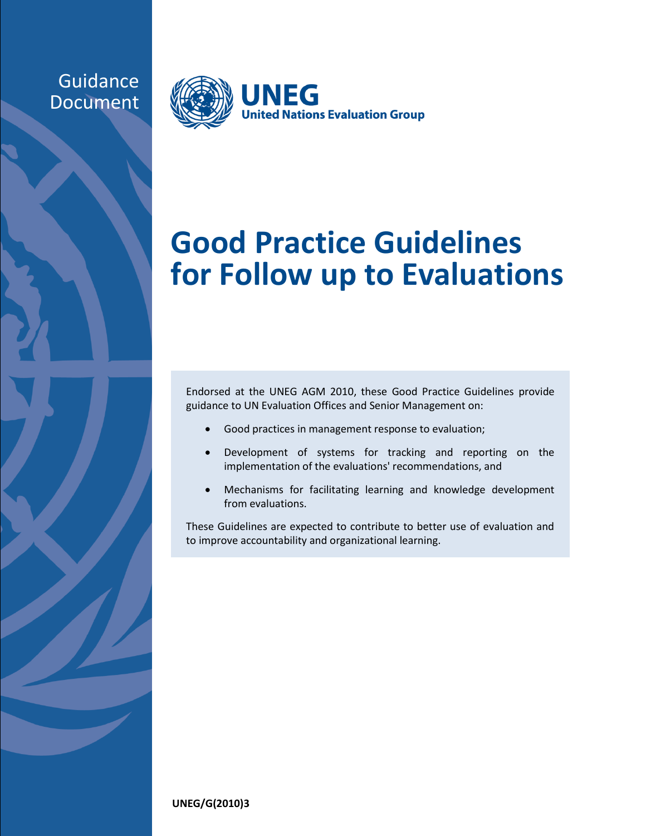## **Guidance** Document



# **Good Practice Guidelines for Follow up to Evaluations**

Endorsed at the UNEG AGM 2010, these Good Practice Guidelines provide guidance to UN Evaluation Offices and Senior Management on:

- Good practices in management response to evaluation;
- Development of systems for tracking and reporting on the implementation of the evaluations' recommendations, and
- Mechanisms for facilitating learning and knowledge development from evaluations.

These Guidelines are expected to contribute to better use of evaluation and to improve accountability and organizational learning.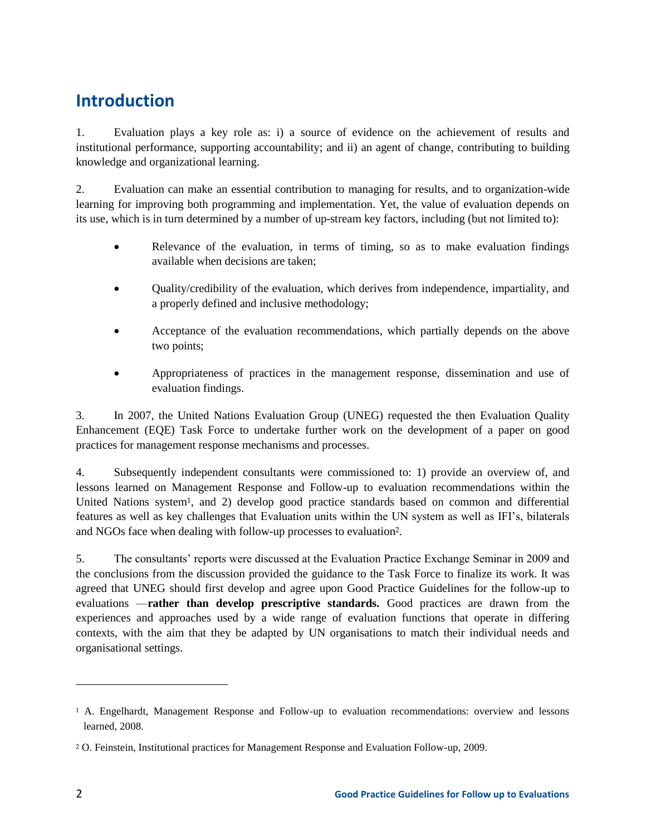## **Introduction**

1. Evaluation plays a key role as: i) a source of evidence on the achievement of results and institutional performance, supporting accountability; and ii) an agent of change, contributing to building knowledge and organizational learning.

2. Evaluation can make an essential contribution to managing for results, and to organization-wide learning for improving both programming and implementation. Yet, the value of evaluation depends on its use, which is in turn determined by a number of up-stream key factors, including (but not limited to):

- Relevance of the evaluation, in terms of timing, so as to make evaluation findings available when decisions are taken;
- Quality/credibility of the evaluation, which derives from independence, impartiality, and a properly defined and inclusive methodology;
- Acceptance of the evaluation recommendations, which partially depends on the above two points;
- Appropriateness of practices in the management response, dissemination and use of evaluation findings.

3. In 2007, the United Nations Evaluation Group (UNEG) requested the then Evaluation Quality Enhancement (EQE) Task Force to undertake further work on the development of a paper on good practices for management response mechanisms and processes.

4. Subsequently independent consultants were commissioned to: 1) provide an overview of, and lessons learned on Management Response and Follow-up to evaluation recommendations within the United Nations system1, and 2) develop good practice standards based on common and differential features as well as key challenges that Evaluation units within the UN system as well as IFI"s, bilaterals and NGOs face when dealing with follow-up processes to evaluation2.

5. The consultants" reports were discussed at the Evaluation Practice Exchange Seminar in 2009 and the conclusions from the discussion provided the guidance to the Task Force to finalize its work. It was agreed that UNEG should first develop and agree upon Good Practice Guidelines for the follow-up to evaluations —**rather than develop prescriptive standards.** Good practices are drawn from the experiences and approaches used by a wide range of evaluation functions that operate in differing contexts, with the aim that they be adapted by UN organisations to match their individual needs and organisational settings.

<sup>1</sup> A. Engelhardt, Management Response and Follow-up to evaluation recommendations: overview and lessons learned, 2008.

<sup>2</sup> O. Feinstein, Institutional practices for Management Response and Evaluation Follow-up, 2009.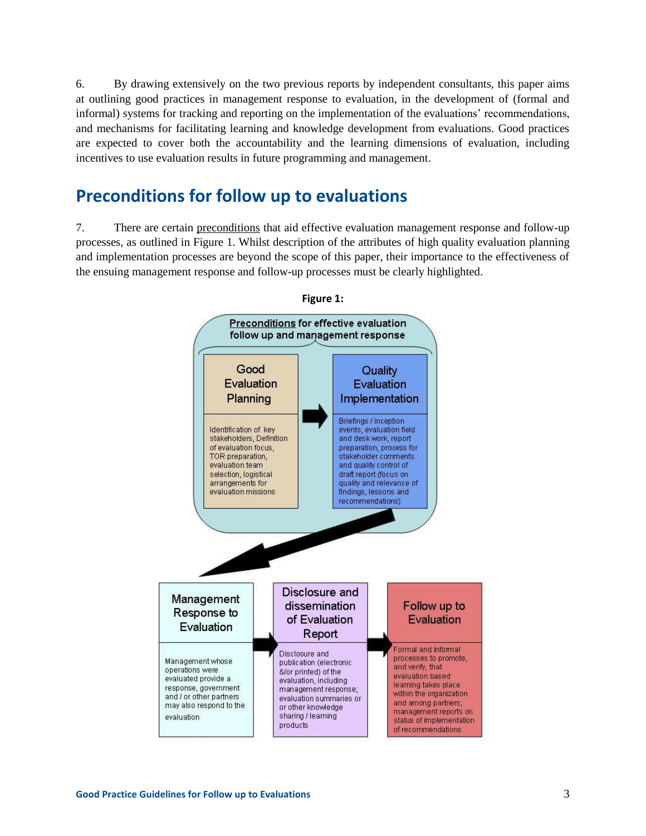6. By drawing extensively on the two previous reports by independent consultants, this paper aims at outlining good practices in management response to evaluation, in the development of (formal and informal) systems for tracking and reporting on the implementation of the evaluations' recommendations, and mechanisms for facilitating learning and knowledge development from evaluations. Good practices are expected to cover both the accountability and the learning dimensions of evaluation, including incentives to use evaluation results in future programming and management.

#### **Preconditions for follow up to evaluations**

7. There are certain preconditions that aid effective evaluation management response and follow-up processes, as outlined in Figure 1. Whilst description of the attributes of high quality evaluation planning and implementation processes are beyond the scope of this paper, their importance to the effectiveness of the ensuing management response and follow-up processes must be clearly highlighted.



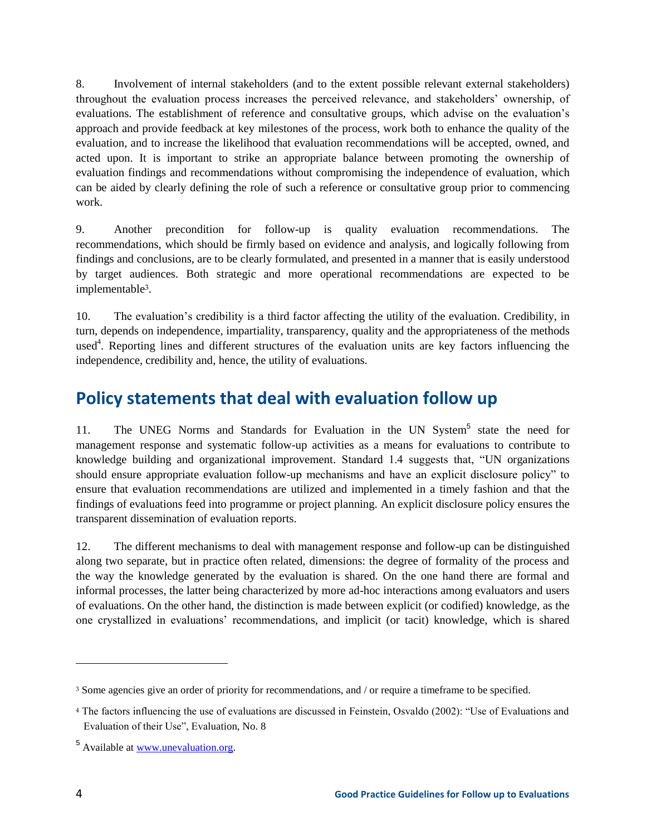8. Involvement of internal stakeholders (and to the extent possible relevant external stakeholders) throughout the evaluation process increases the perceived relevance, and stakeholders" ownership, of evaluations. The establishment of reference and consultative groups, which advise on the evaluation"s approach and provide feedback at key milestones of the process, work both to enhance the quality of the evaluation, and to increase the likelihood that evaluation recommendations will be accepted, owned, and acted upon. It is important to strike an appropriate balance between promoting the ownership of evaluation findings and recommendations without compromising the independence of evaluation, which can be aided by clearly defining the role of such a reference or consultative group prior to commencing work.

9. Another precondition for follow-up is quality evaluation recommendations. The recommendations, which should be firmly based on evidence and analysis, and logically following from findings and conclusions, are to be clearly formulated, and presented in a manner that is easily understood by target audiences. Both strategic and more operational recommendations are expected to be implementable3.

10. The evaluation"s credibility is a third factor affecting the utility of the evaluation. Credibility, in turn, depends on independence, impartiality, transparency, quality and the appropriateness of the methods used<sup>4</sup>. Reporting lines and different structures of the evaluation units are key factors influencing the independence, credibility and, hence, the utility of evaluations.

## **Policy statements that deal with evaluation follow up**

11. The UNEG Norms and Standards for Evaluation in the UN System<sup>5</sup> state the need for management response and systematic follow-up activities as a means for evaluations to contribute to knowledge building and organizational improvement. Standard 1.4 suggests that, "UN organizations should ensure appropriate evaluation follow-up mechanisms and have an explicit disclosure policy" to ensure that evaluation recommendations are utilized and implemented in a timely fashion and that the findings of evaluations feed into programme or project planning. An explicit disclosure policy ensures the transparent dissemination of evaluation reports.

12. The different mechanisms to deal with management response and follow-up can be distinguished along two separate, but in practice often related, dimensions: the degree of formality of the process and the way the knowledge generated by the evaluation is shared. On the one hand there are formal and informal processes, the latter being characterized by more ad-hoc interactions among evaluators and users of evaluations. On the other hand, the distinction is made between explicit (or codified) knowledge, as the one crystallized in evaluations" recommendations, and implicit (or tacit) knowledge, which is shared

<sup>3</sup> Some agencies give an order of priority for recommendations, and / or require a timeframe to be specified.

<sup>4</sup> The factors influencing the use of evaluations are discussed in Feinstein, Osvaldo (2002): "Use of Evaluations and Evaluation of their Use", Evaluation, No. 8

<sup>5</sup> Available at [www.unevaluation.org.](http://www.unevaluation.org/)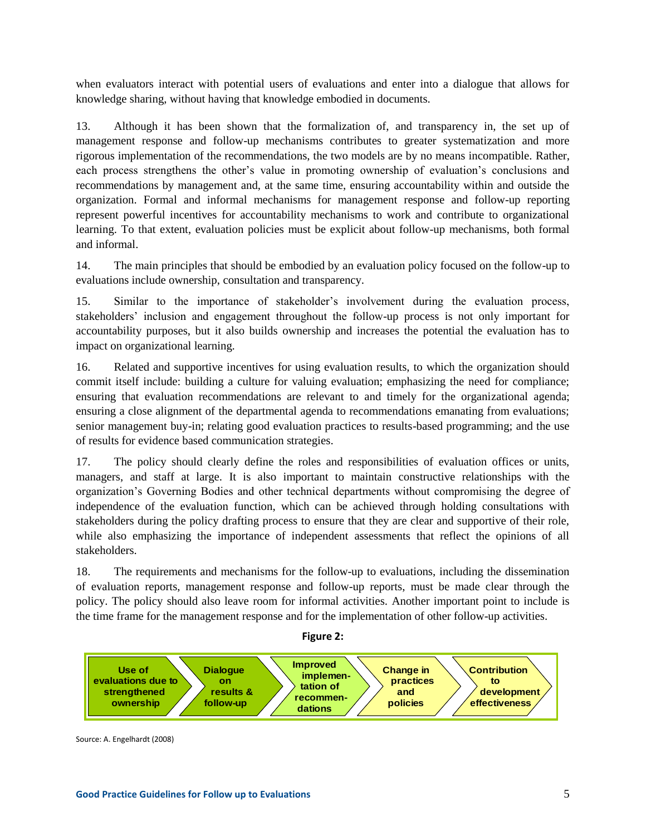when evaluators interact with potential users of evaluations and enter into a dialogue that allows for knowledge sharing, without having that knowledge embodied in documents.

13. Although it has been shown that the formalization of, and transparency in, the set up of management response and follow-up mechanisms contributes to greater systematization and more rigorous implementation of the recommendations, the two models are by no means incompatible. Rather, each process strengthens the other"s value in promoting ownership of evaluation"s conclusions and recommendations by management and, at the same time, ensuring accountability within and outside the organization. Formal and informal mechanisms for management response and follow-up reporting represent powerful incentives for accountability mechanisms to work and contribute to organizational learning. To that extent, evaluation policies must be explicit about follow-up mechanisms, both formal and informal.

14. The main principles that should be embodied by an evaluation policy focused on the follow-up to evaluations include ownership, consultation and transparency.

15. Similar to the importance of stakeholder"s involvement during the evaluation process, stakeholders" inclusion and engagement throughout the follow-up process is not only important for accountability purposes, but it also builds ownership and increases the potential the evaluation has to impact on organizational learning.

16. Related and supportive incentives for using evaluation results, to which the organization should commit itself include: building a culture for valuing evaluation; emphasizing the need for compliance; ensuring that evaluation recommendations are relevant to and timely for the organizational agenda; ensuring a close alignment of the departmental agenda to recommendations emanating from evaluations; senior management buy-in; relating good evaluation practices to results-based programming; and the use of results for evidence based communication strategies.

17. The policy should clearly define the roles and responsibilities of evaluation offices or units, managers, and staff at large. It is also important to maintain constructive relationships with the organization"s Governing Bodies and other technical departments without compromising the degree of independence of the evaluation function, which can be achieved through holding consultations with stakeholders during the policy drafting process to ensure that they are clear and supportive of their role, while also emphasizing the importance of independent assessments that reflect the opinions of all stakeholders.

18. The requirements and mechanisms for the follow-up to evaluations, including the dissemination of evaluation reports, management response and follow-up reports, must be made clear through the policy. The policy should also leave room for informal activities. Another important point to include is the time frame for the management response and for the implementation of other follow-up activities.





Source: A. Engelhardt (2008)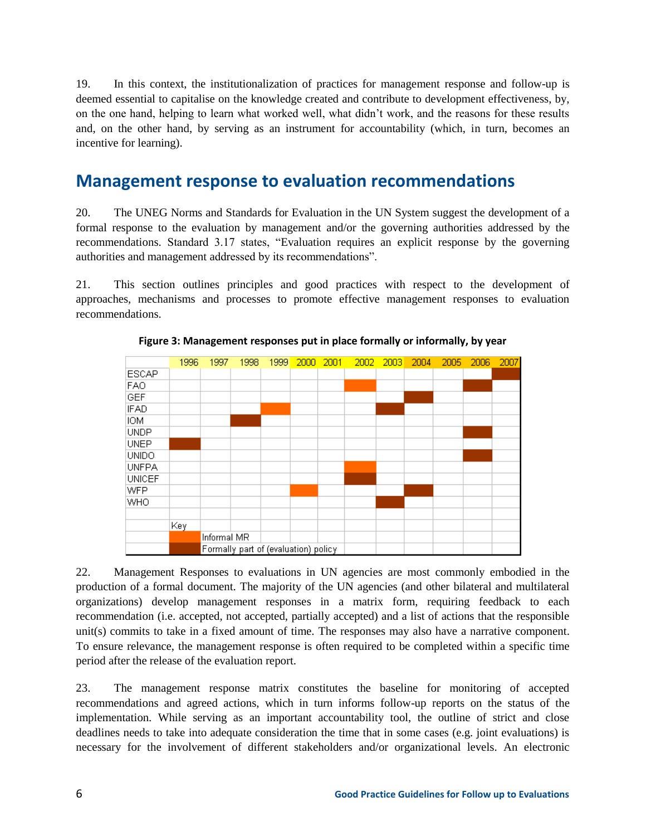19. In this context, the institutionalization of practices for management response and follow-up is deemed essential to capitalise on the knowledge created and contribute to development effectiveness, by, on the one hand, helping to learn what worked well, what didn"t work, and the reasons for these results and, on the other hand, by serving as an instrument for accountability (which, in turn, becomes an incentive for learning).

### **Management response to evaluation recommendations**

20. The UNEG Norms and Standards for Evaluation in the UN System suggest the development of a formal response to the evaluation by management and/or the governing authorities addressed by the recommendations. Standard 3.17 states, "Evaluation requires an explicit response by the governing authorities and management addressed by its recommendations".

21. This section outlines principles and good practices with respect to the development of approaches, mechanisms and processes to promote effective management responses to evaluation recommendations.



**Figure 3: Management responses put in place formally or informally, by year**

22. Management Responses to evaluations in UN agencies are most commonly embodied in the production of a formal document. The majority of the UN agencies (and other bilateral and multilateral organizations) develop management responses in a matrix form, requiring feedback to each recommendation (i.e. accepted, not accepted, partially accepted) and a list of actions that the responsible unit(s) commits to take in a fixed amount of time. The responses may also have a narrative component. To ensure relevance, the management response is often required to be completed within a specific time period after the release of the evaluation report.

23. The management response matrix constitutes the baseline for monitoring of accepted recommendations and agreed actions, which in turn informs follow-up reports on the status of the implementation. While serving as an important accountability tool, the outline of strict and close deadlines needs to take into adequate consideration the time that in some cases (e.g. joint evaluations) is necessary for the involvement of different stakeholders and/or organizational levels. An electronic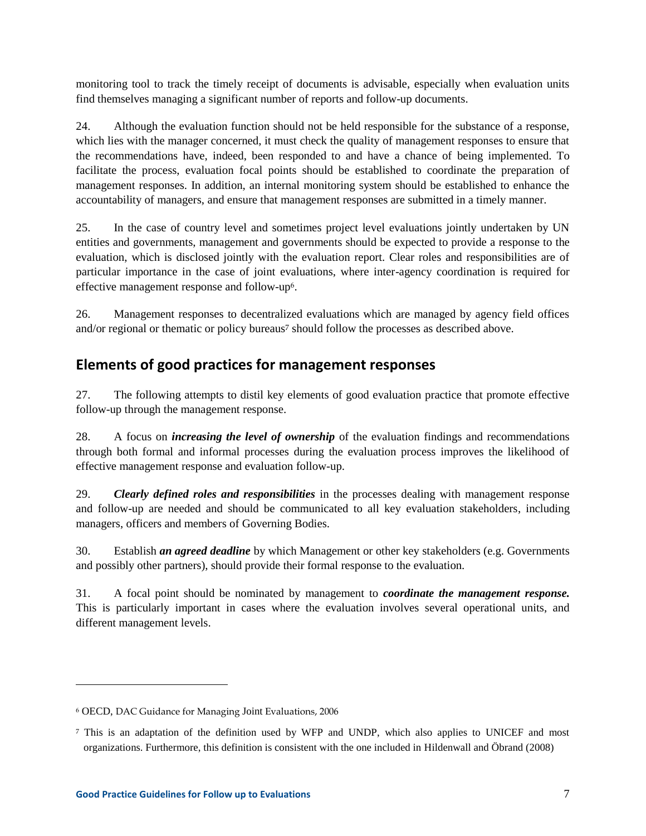monitoring tool to track the timely receipt of documents is advisable, especially when evaluation units find themselves managing a significant number of reports and follow-up documents.

24. Although the evaluation function should not be held responsible for the substance of a response, which lies with the manager concerned, it must check the quality of management responses to ensure that the recommendations have, indeed, been responded to and have a chance of being implemented. To facilitate the process, evaluation focal points should be established to coordinate the preparation of management responses. In addition, an internal monitoring system should be established to enhance the accountability of managers, and ensure that management responses are submitted in a timely manner.

25. In the case of country level and sometimes project level evaluations jointly undertaken by UN entities and governments, management and governments should be expected to provide a response to the evaluation, which is disclosed jointly with the evaluation report. Clear roles and responsibilities are of particular importance in the case of joint evaluations, where inter-agency coordination is required for effective management response and follow-up6.

26. Management responses to decentralized evaluations which are managed by agency field offices and/or regional or thematic or policy bureaus<sup>7</sup> should follow the processes as described above.

#### **Elements of good practices for management responses**

27. The following attempts to distil key elements of good evaluation practice that promote effective follow-up through the management response.

28. A focus on *increasing the level of ownership* of the evaluation findings and recommendations through both formal and informal processes during the evaluation process improves the likelihood of effective management response and evaluation follow-up.

29. *Clearly defined roles and responsibilities* in the processes dealing with management response and follow-up are needed and should be communicated to all key evaluation stakeholders, including managers, officers and members of Governing Bodies.

30. Establish *an agreed deadline* by which Management or other key stakeholders (e.g. Governments and possibly other partners), should provide their formal response to the evaluation.

31. A focal point should be nominated by management to *coordinate the management response.* This is particularly important in cases where the evaluation involves several operational units, and different management levels.

<sup>6</sup> OECD, DAC Guidance for Managing Joint Evaluations, 2006

<sup>7</sup> This is an adaptation of the definition used by WFP and UNDP, which also applies to UNICEF and most organizations. Furthermore, this definition is consistent with the one included in Hildenwall and Öbrand (2008)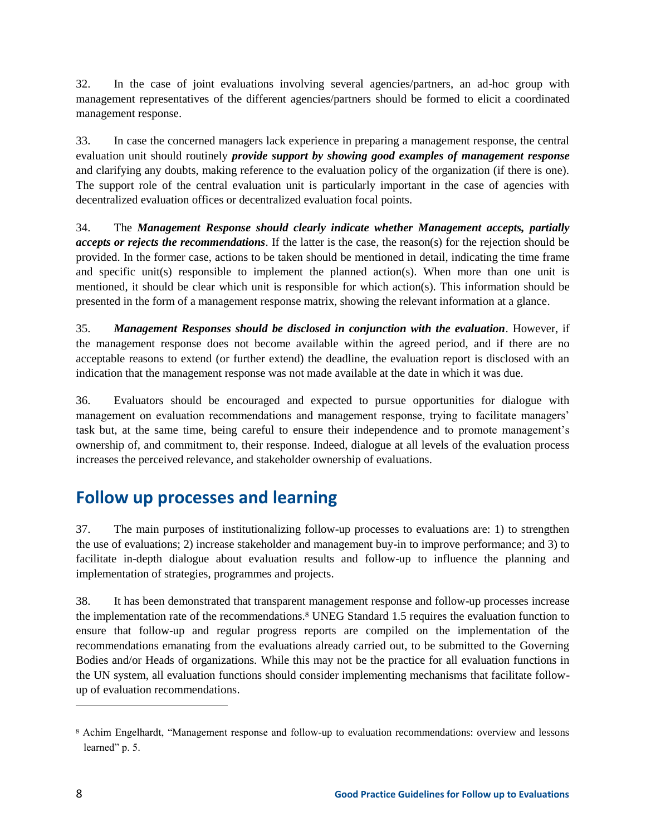32. In the case of joint evaluations involving several agencies/partners, an ad-hoc group with management representatives of the different agencies/partners should be formed to elicit a coordinated management response.

33. In case the concerned managers lack experience in preparing a management response, the central evaluation unit should routinely *provide support by showing good examples of management response* and clarifying any doubts, making reference to the evaluation policy of the organization (if there is one). The support role of the central evaluation unit is particularly important in the case of agencies with decentralized evaluation offices or decentralized evaluation focal points.

34. The *Management Response should clearly indicate whether Management accepts, partially accepts or rejects the recommendations*. If the latter is the case, the reason(s) for the rejection should be provided. In the former case, actions to be taken should be mentioned in detail, indicating the time frame and specific unit(s) responsible to implement the planned action(s). When more than one unit is mentioned, it should be clear which unit is responsible for which action(s). This information should be presented in the form of a management response matrix, showing the relevant information at a glance.

35. *Management Responses should be disclosed in conjunction with the evaluation*. However, if the management response does not become available within the agreed period, and if there are no acceptable reasons to extend (or further extend) the deadline, the evaluation report is disclosed with an indication that the management response was not made available at the date in which it was due.

36. Evaluators should be encouraged and expected to pursue opportunities for dialogue with management on evaluation recommendations and management response, trying to facilitate managers' task but, at the same time, being careful to ensure their independence and to promote management"s ownership of, and commitment to, their response. Indeed, dialogue at all levels of the evaluation process increases the perceived relevance, and stakeholder ownership of evaluations.

## **Follow up processes and learning**

37. The main purposes of institutionalizing follow-up processes to evaluations are: 1) to strengthen the use of evaluations; 2) increase stakeholder and management buy-in to improve performance; and 3) to facilitate in-depth dialogue about evaluation results and follow-up to influence the planning and implementation of strategies, programmes and projects.

38. It has been demonstrated that transparent management response and follow-up processes increase the implementation rate of the recommendations.<sup>8</sup> UNEG Standard 1.5 requires the evaluation function to ensure that follow-up and regular progress reports are compiled on the implementation of the recommendations emanating from the evaluations already carried out, to be submitted to the Governing Bodies and/or Heads of organizations. While this may not be the practice for all evaluation functions in the UN system, all evaluation functions should consider implementing mechanisms that facilitate followup of evaluation recommendations.

<sup>8</sup> Achim Engelhardt, "Management response and follow-up to evaluation recommendations: overview and lessons learned" p. 5.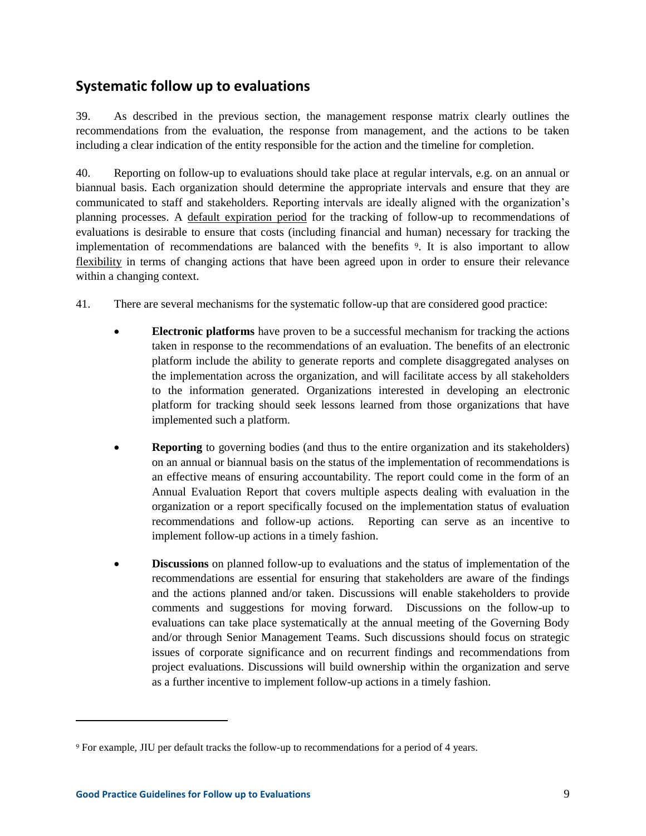#### **Systematic follow up to evaluations**

39. As described in the previous section, the management response matrix clearly outlines the recommendations from the evaluation, the response from management, and the actions to be taken including a clear indication of the entity responsible for the action and the timeline for completion.

40. Reporting on follow-up to evaluations should take place at regular intervals, e.g. on an annual or biannual basis. Each organization should determine the appropriate intervals and ensure that they are communicated to staff and stakeholders. Reporting intervals are ideally aligned with the organization"s planning processes. A default expiration period for the tracking of follow-up to recommendations of evaluations is desirable to ensure that costs (including financial and human) necessary for tracking the implementation of recommendations are balanced with the benefits 9. It is also important to allow flexibility in terms of changing actions that have been agreed upon in order to ensure their relevance within a changing context.

- 41. There are several mechanisms for the systematic follow-up that are considered good practice:
	- **Electronic platforms** have proven to be a successful mechanism for tracking the actions taken in response to the recommendations of an evaluation. The benefits of an electronic platform include the ability to generate reports and complete disaggregated analyses on the implementation across the organization, and will facilitate access by all stakeholders to the information generated. Organizations interested in developing an electronic platform for tracking should seek lessons learned from those organizations that have implemented such a platform.
	- **Reporting** to governing bodies (and thus to the entire organization and its stakeholders) on an annual or biannual basis on the status of the implementation of recommendations is an effective means of ensuring accountability. The report could come in the form of an Annual Evaluation Report that covers multiple aspects dealing with evaluation in the organization or a report specifically focused on the implementation status of evaluation recommendations and follow-up actions. Reporting can serve as an incentive to implement follow-up actions in a timely fashion.
	- **Discussions** on planned follow-up to evaluations and the status of implementation of the recommendations are essential for ensuring that stakeholders are aware of the findings and the actions planned and/or taken. Discussions will enable stakeholders to provide comments and suggestions for moving forward. Discussions on the follow-up to evaluations can take place systematically at the annual meeting of the Governing Body and/or through Senior Management Teams. Such discussions should focus on strategic issues of corporate significance and on recurrent findings and recommendations from project evaluations. Discussions will build ownership within the organization and serve as a further incentive to implement follow-up actions in a timely fashion.

<sup>9</sup> For example, JIU per default tracks the follow-up to recommendations for a period of 4 years.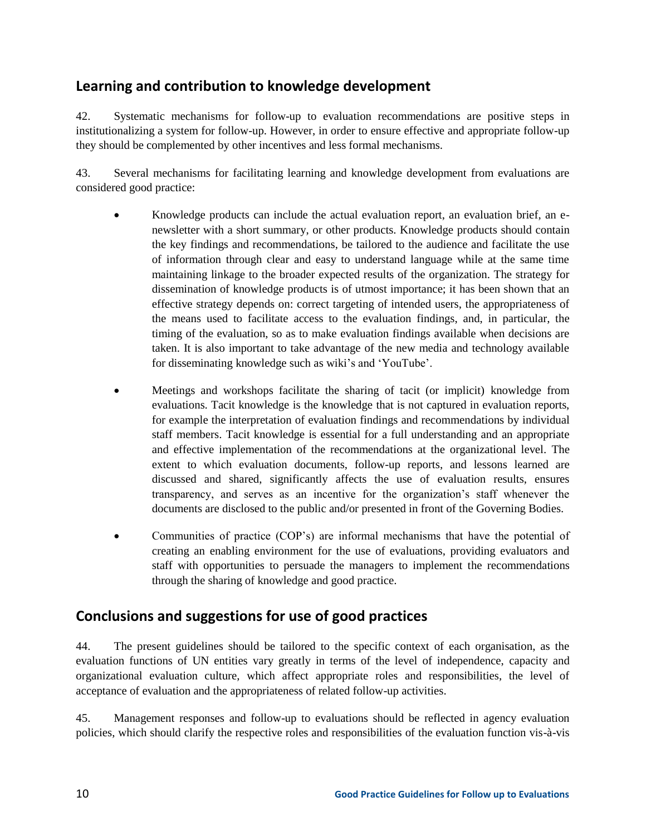#### **Learning and contribution to knowledge development**

42. Systematic mechanisms for follow-up to evaluation recommendations are positive steps in institutionalizing a system for follow-up. However, in order to ensure effective and appropriate follow-up they should be complemented by other incentives and less formal mechanisms.

43. Several mechanisms for facilitating learning and knowledge development from evaluations are considered good practice:

- Knowledge products can include the actual evaluation report, an evaluation brief, an enewsletter with a short summary, or other products. Knowledge products should contain the key findings and recommendations, be tailored to the audience and facilitate the use of information through clear and easy to understand language while at the same time maintaining linkage to the broader expected results of the organization. The strategy for dissemination of knowledge products is of utmost importance; it has been shown that an effective strategy depends on: correct targeting of intended users, the appropriateness of the means used to facilitate access to the evaluation findings, and, in particular, the timing of the evaluation, so as to make evaluation findings available when decisions are taken. It is also important to take advantage of the new media and technology available for disseminating knowledge such as wiki"s and "YouTube".
- Meetings and workshops facilitate the sharing of tacit (or implicit) knowledge from evaluations. Tacit knowledge is the knowledge that is not captured in evaluation reports, for example the interpretation of evaluation findings and recommendations by individual staff members. Tacit knowledge is essential for a full understanding and an appropriate and effective implementation of the recommendations at the organizational level. The extent to which evaluation documents, follow-up reports, and lessons learned are discussed and shared, significantly affects the use of evaluation results, ensures transparency, and serves as an incentive for the organization"s staff whenever the documents are disclosed to the public and/or presented in front of the Governing Bodies.
- Communities of practice (COP"s) are informal mechanisms that have the potential of creating an enabling environment for the use of evaluations, providing evaluators and staff with opportunities to persuade the managers to implement the recommendations through the sharing of knowledge and good practice.

#### **Conclusions and suggestions for use of good practices**

44. The present guidelines should be tailored to the specific context of each organisation, as the evaluation functions of UN entities vary greatly in terms of the level of independence, capacity and organizational evaluation culture, which affect appropriate roles and responsibilities, the level of acceptance of evaluation and the appropriateness of related follow-up activities.

45. Management responses and follow-up to evaluations should be reflected in agency evaluation policies, which should clarify the respective roles and responsibilities of the evaluation function vis-à-vis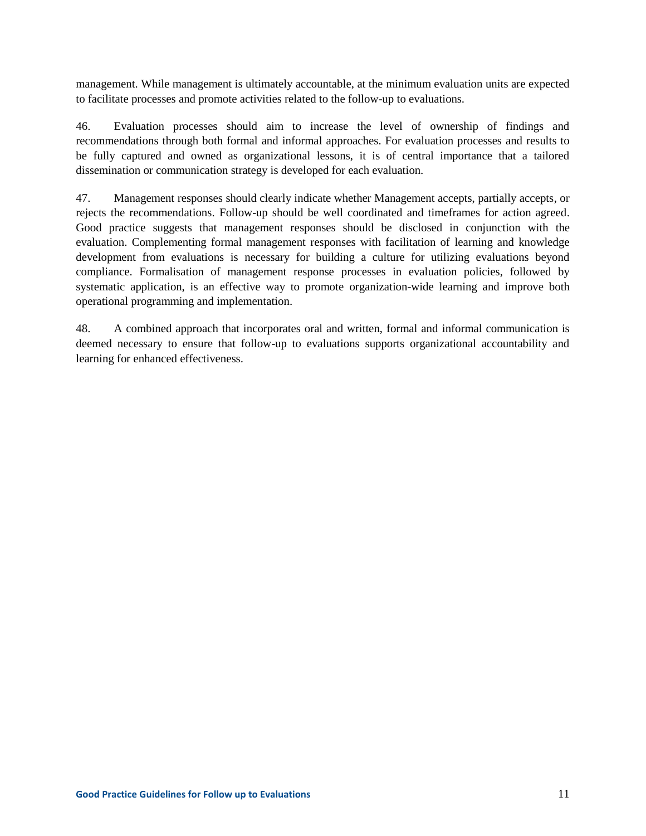management. While management is ultimately accountable, at the minimum evaluation units are expected to facilitate processes and promote activities related to the follow-up to evaluations.

46. Evaluation processes should aim to increase the level of ownership of findings and recommendations through both formal and informal approaches. For evaluation processes and results to be fully captured and owned as organizational lessons, it is of central importance that a tailored dissemination or communication strategy is developed for each evaluation.

47. Management responses should clearly indicate whether Management accepts, partially accepts, or rejects the recommendations. Follow-up should be well coordinated and timeframes for action agreed. Good practice suggests that management responses should be disclosed in conjunction with the evaluation. Complementing formal management responses with facilitation of learning and knowledge development from evaluations is necessary for building a culture for utilizing evaluations beyond compliance. Formalisation of management response processes in evaluation policies, followed by systematic application, is an effective way to promote organization-wide learning and improve both operational programming and implementation.

48. A combined approach that incorporates oral and written, formal and informal communication is deemed necessary to ensure that follow-up to evaluations supports organizational accountability and learning for enhanced effectiveness.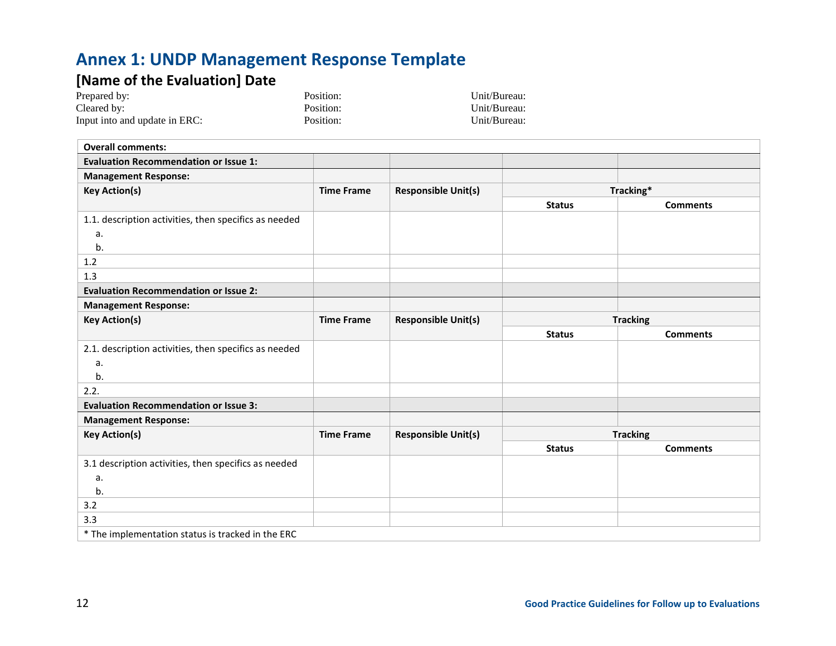## **Annex 1: UNDP Management Response Template**

## **[Name of the Evaluation] Date** Prepared by:

| Prepared by:                  | Position: | Unit/Bureau: |
|-------------------------------|-----------|--------------|
| Cleared by:                   | Position: | Unit/Bureau: |
| Input into and update in ERC: | Position: | Unit/Bureau: |

| <b>Overall comments:</b>                              |                   |                            |                 |                 |
|-------------------------------------------------------|-------------------|----------------------------|-----------------|-----------------|
| <b>Evaluation Recommendation or Issue 1:</b>          |                   |                            |                 |                 |
| <b>Management Response:</b>                           |                   |                            |                 |                 |
| <b>Key Action(s)</b>                                  | <b>Time Frame</b> | <b>Responsible Unit(s)</b> | Tracking*       |                 |
|                                                       |                   |                            | <b>Status</b>   | <b>Comments</b> |
| 1.1. description activities, then specifics as needed |                   |                            |                 |                 |
| a.                                                    |                   |                            |                 |                 |
| b.                                                    |                   |                            |                 |                 |
| 1.2                                                   |                   |                            |                 |                 |
| 1.3                                                   |                   |                            |                 |                 |
| <b>Evaluation Recommendation or Issue 2:</b>          |                   |                            |                 |                 |
| <b>Management Response:</b>                           |                   |                            |                 |                 |
| <b>Key Action(s)</b>                                  | <b>Time Frame</b> | <b>Responsible Unit(s)</b> | <b>Tracking</b> |                 |
|                                                       |                   |                            | <b>Status</b>   | <b>Comments</b> |
| 2.1. description activities, then specifics as needed |                   |                            |                 |                 |
| a.                                                    |                   |                            |                 |                 |
| b.                                                    |                   |                            |                 |                 |
| 2.2.                                                  |                   |                            |                 |                 |
| <b>Evaluation Recommendation or Issue 3:</b>          |                   |                            |                 |                 |
| <b>Management Response:</b>                           |                   |                            |                 |                 |
| <b>Key Action(s)</b>                                  | <b>Time Frame</b> | <b>Responsible Unit(s)</b> | <b>Tracking</b> |                 |
|                                                       |                   |                            | <b>Status</b>   | <b>Comments</b> |
| 3.1 description activities, then specifics as needed  |                   |                            |                 |                 |
| a.                                                    |                   |                            |                 |                 |
| b.                                                    |                   |                            |                 |                 |
| 3.2                                                   |                   |                            |                 |                 |
| 3.3                                                   |                   |                            |                 |                 |
| * The implementation status is tracked in the ERC     |                   |                            |                 |                 |